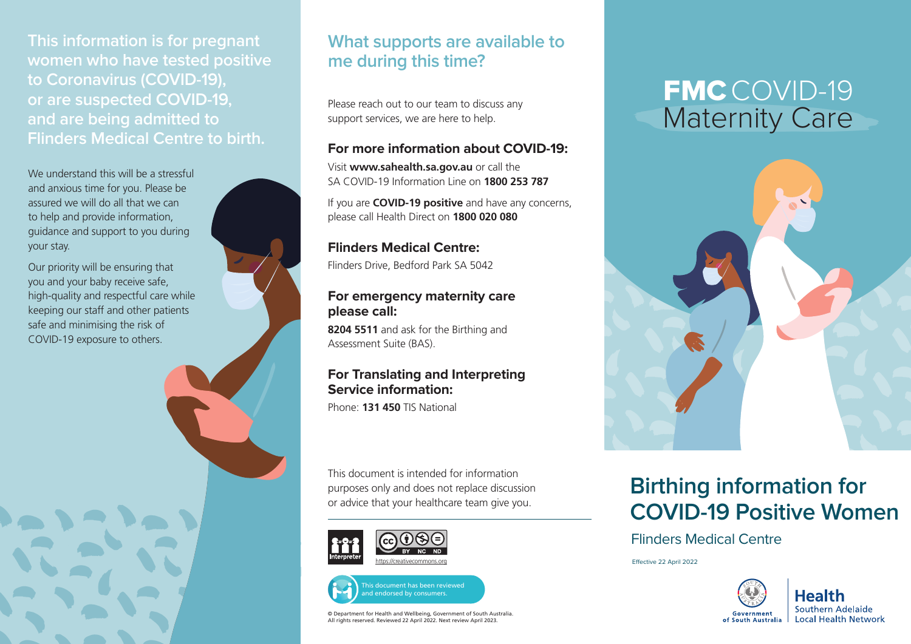**This information is for pregnant women who have tested positive to Coronavirus (COVID-19), or are suspected COVID-19, and are being admitted to Flinders Medical Centre to birth.** 

We understand this will be a stressful and anxious time for you. Please be assured we will do all that we can to help and provide information, guidance and support to you during your stay.

Our priority will be ensuring that you and your baby receive safe, high-quality and respectful care while keeping our staff and other patients safe and minimising the risk of COVID-19 exposure to others.

## **What supports are available to me during this time?**

Please reach out to our team to discuss any support services, we are here to help.

#### **For more information about COVID-19:**

Visit **[www.sahealth.sa.gov.au](http://www.sahelath.sa.gov.au)** or call the SA COVID-19 Information Line on **1800 253 787**

If you are **COVID-19 positive** and have any concerns, please call Health Direct on **1800 020 080**

**Flinders Medical Centre:** 

Flinders Drive, Bedford Park SA 5042

#### **For emergency maternity care please call:**

**8204 5511** and ask for the Birthing and Assessment Suite (BAS).

### **For Translating and Interpreting Service information:**

Phone: **131 450** TIS National

This document is intended for information purposes only and does not replace discussion or advice that your healthcare team give you.





© Department for Health and Wellbeing, Government of South Australia. All rights reserved. Reviewed 22 April 2022. Next review April 2023.

# FMC COVID-19 Maternity Care



## **Birthing information for COVID-19 Positive Women**

Flinders Medical Centre

Effective 22 April 2022